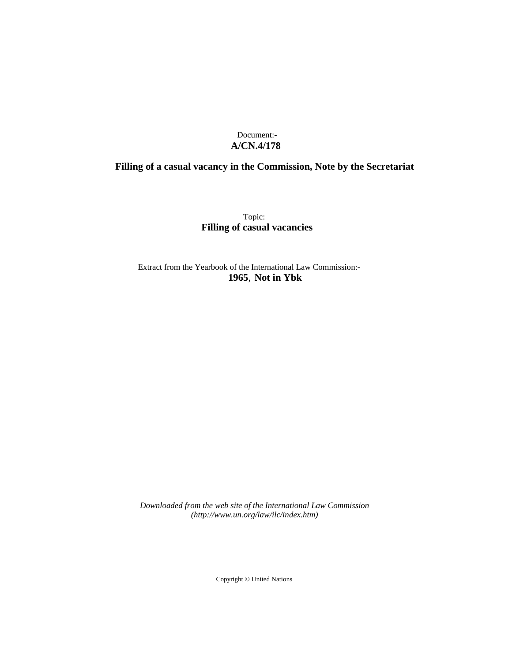### Document:- **A/CN.4/178**

## **Filling of a casual vacancy in the Commission, Note by the Secretariat**

Topic: **Filling of casual vacancies**

Extract from the Yearbook of the International Law Commission:- **1965**, **Not in Ybk**

*Downloaded from the web site of the International Law Commission (http://www.un.org/law/ilc/index.htm)*

Copyright © United Nations